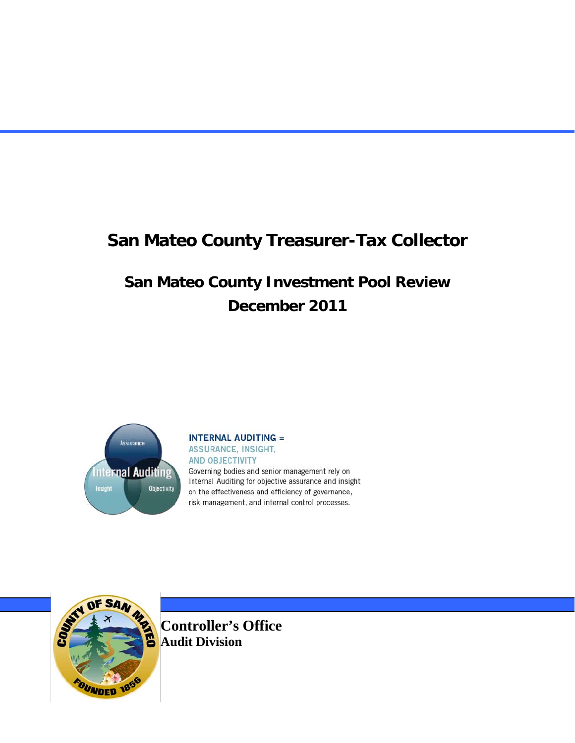# **San Mateo County Investment Pool Review December 2011**



#### **INTERNAL AUDITING =** ASSURANCE, INSIGHT, **AND OBJECTIVITY**

Governing bodies and senior management rely on Internal Auditing for objective assurance and insight on the effectiveness and efficiency of governance, risk management, and internal control processes.



**Controller's Office Audit Division**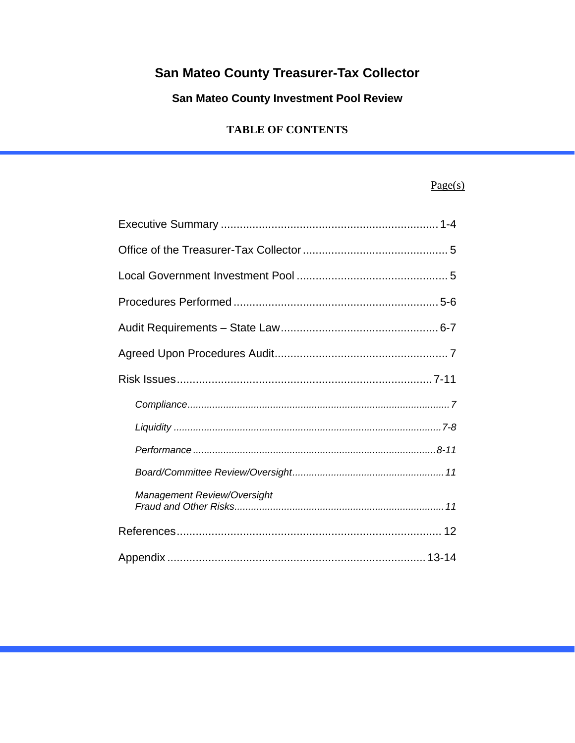# San Mateo County Investment Pool Review

#### **TABLE OF CONTENTS**

### $Page(s)$

| Management Review/Oversight |
|-----------------------------|
|                             |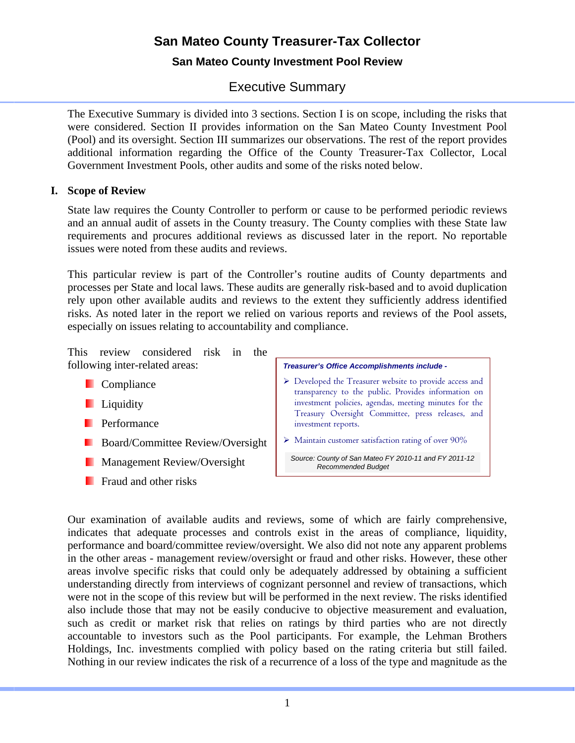#### **San Mateo County Investment Pool Review**

### Executive Summary

The Executive Summary is divided into 3 sections. Section I is on scope, including the risks that were considered. Section II provides information on the San Mateo County Investment Pool (Pool) and its oversight. Section III summarizes our observations. The rest of the report provides additional information regarding the Office of the County Treasurer-Tax Collector, Local Government Investment Pools, other audits and some of the risks noted below.

#### **I. Scope of Review**

State law requires the County Controller to perform or cause to be performed periodic reviews and an annual audit of assets in the County treasury. The County complies with these State law requirements and procures additional reviews as discussed later in the report. No reportable issues were noted from these audits and reviews.

This particular review is part of the Controller's routine audits of County departments and processes per State and local laws. These audits are generally risk-based and to avoid duplication rely upon other available audits and reviews to the extent they sufficiently address identified risks. As noted later in the report we relied on various reports and reviews of the Pool assets, especially on issues relating to accountability and compliance.

This review considered risk in the following inter-related areas: *Treasurer's Office Accomplishments include -*

- **Compliance**
- **Liquidity**
- **Performance**
- **Board/Committee Review/Oversight**
- **Management Review/Oversight**
- **F** Fraud and other risks

- Developed the Treasurer website to provide access and transparency to the public. Provides information on investment policies, agendas, meeting minutes for the Treasury Oversight Committee, press releases, and investment reports.
- $\triangleright$  Maintain customer satisfaction rating of over 90%

*Source: County of San Mateo FY 2010-11 and FY 2011-12 Recommended Budget*

Our examination of available audits and reviews, some of which are fairly comprehensive, indicates that adequate processes and controls exist in the areas of compliance, liquidity, performance and board/committee review/oversight. We also did not note any apparent problems in the other areas - management review/oversight or fraud and other risks. However, these other areas involve specific risks that could only be adequately addressed by obtaining a sufficient understanding directly from interviews of cognizant personnel and review of transactions, which were not in the scope of this review but will be performed in the next review. The risks identified also include those that may not be easily conducive to objective measurement and evaluation, such as credit or market risk that relies on ratings by third parties who are not directly accountable to investors such as the Pool participants. For example, the Lehman Brothers Holdings, Inc. investments complied with policy based on the rating criteria but still failed. Nothing in our review indicates the risk of a recurrence of a loss of the type and magnitude as the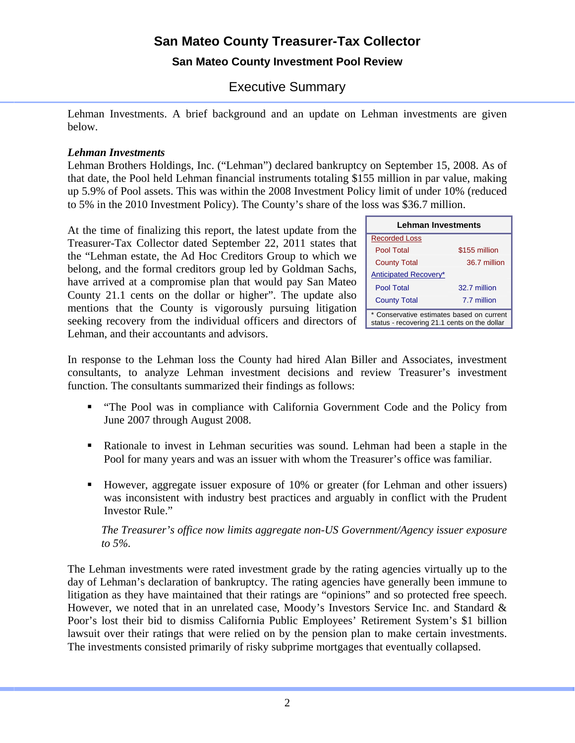#### **San Mateo County Investment Pool Review**

# Executive Summary

Lehman Investments. A brief background and an update on Lehman investments are given below.

#### *Lehman Investments*

Lehman Brothers Holdings, Inc. ("Lehman") declared bankruptcy on September 15, 2008. As of that date, the Pool held Lehman financial instruments totaling \$155 million in par value, making up 5.9% of Pool assets. This was within the 2008 Investment Policy limit of under 10% (reduced to 5% in the 2010 Investment Policy). The County's share of the loss was \$36.7 million.

At the time of finalizing this report, the latest update from the Treasurer-Tax Collector dated September 22, 2011 states that the "Lehman estate, the Ad Hoc Creditors Group to which we belong, and the formal creditors group led by Goldman Sachs, have arrived at a compromise plan that would pay San Mateo County 21.1 cents on the dollar or higher". The update also mentions that the County is vigorously pursuing litigation seeking recovery from the individual officers and directors of Lehman, and their accountants and advisors.

| Lehman Investments                                                                        |               |  |  |  |
|-------------------------------------------------------------------------------------------|---------------|--|--|--|
| Recorded Loss                                                                             |               |  |  |  |
| Pool Total                                                                                | \$155 million |  |  |  |
| <b>County Total</b>                                                                       | 36.7 million  |  |  |  |
| Anticipated Recovery*                                                                     |               |  |  |  |
| Pool Total                                                                                | 32.7 million  |  |  |  |
| <b>County Total</b>                                                                       | 7.7 million   |  |  |  |
| * Conservative estimates based on current<br>status - recovering 21.1 cents on the dollar |               |  |  |  |

In response to the Lehman loss the County had hired Alan Biller and Associates, investment consultants, to analyze Lehman investment decisions and review Treasurer's investment function. The consultants summarized their findings as follows:

- "The Pool was in compliance with California Government Code and the Policy from June 2007 through August 2008.
- Rationale to invest in Lehman securities was sound. Lehman had been a staple in the Pool for many years and was an issuer with whom the Treasurer's office was familiar.
- However, aggregate issuer exposure of 10% or greater (for Lehman and other issuers) was inconsistent with industry best practices and arguably in conflict with the Prudent Investor Rule."

*The Treasurer's office now limits aggregate non-US Government/Agency issuer exposure to 5%.* 

The Lehman investments were rated investment grade by the rating agencies virtually up to the day of Lehman's declaration of bankruptcy. The rating agencies have generally been immune to litigation as they have maintained that their ratings are "opinions" and so protected free speech. However, we noted that in an unrelated case, Moody's Investors Service Inc. and Standard & Poor's lost their bid to dismiss California Public Employees' Retirement System's \$1 billion lawsuit over their ratings that were relied on by the pension plan to make certain investments. The investments consisted primarily of risky subprime mortgages that eventually collapsed.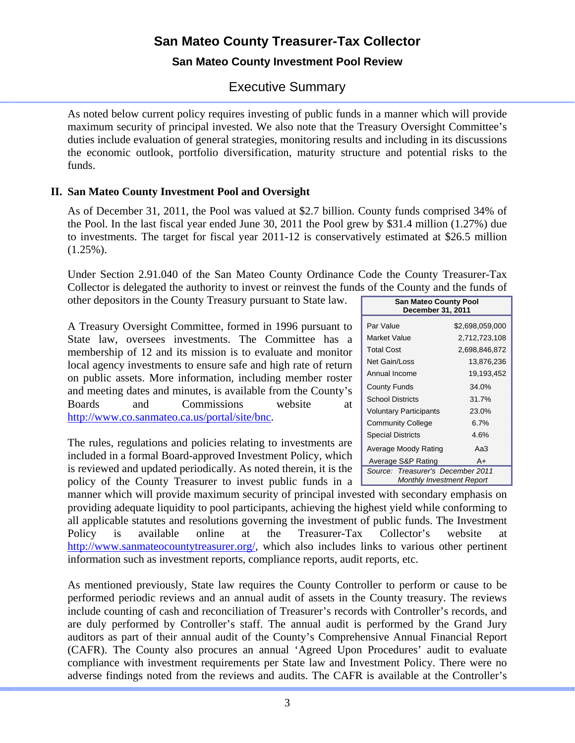#### **San Mateo County Investment Pool Review**

### Executive Summary

As noted below current policy requires investing of public funds in a manner which will provide maximum security of principal invested. We also note that the Treasury Oversight Committee's duties include evaluation of general strategies, monitoring results and including in its discussions the economic outlook, portfolio diversification, maturity structure and potential risks to the funds.

#### **II. San Mateo County Investment Pool and Oversight**

As of December 31, 2011, the Pool was valued at \$2.7 billion. County funds comprised 34% of the Pool. In the last fiscal year ended June 30, 2011 the Pool grew by \$31.4 million (1.27%) due to investments. The target for fiscal year 2011-12 is conservatively estimated at \$26.5 million  $(1.25\%)$ .

Under Section 2.91.040 of the San Mateo County Ordinance Code the County Treasurer-Tax Collector is delegated the authority to invest or reinvest the funds of the County and the funds of other depositors in the County Treasury pursuant to State law.

A Treasury Oversight Committee, formed in 1996 pursuant to State law, oversees investments. The Committee has a membership of 12 and its mission is to evaluate and monitor local agency investments to ensure safe and high rate of return on public assets. More information, including member roster and meeting dates and minutes, is available from the County's Boards and Commissions website at [http://www.co.sanmateo.ca.us/portal/site/bnc.](http://www.co.sanmateo.ca.us/portal/site/bnc)

The rules, regulations and policies relating to investments are included in a formal Board-approved Investment Policy, which is reviewed and updated periodically. As noted therein, it is the policy of the County Treasurer to invest public funds in a  $\Box$ 

| <b>San Mateo County Pool</b><br>December 31, 2011              |               |  |  |  |  |
|----------------------------------------------------------------|---------------|--|--|--|--|
| Par Value<br>\$2,698,059,000                                   |               |  |  |  |  |
| Market Value                                                   | 2,712,723,108 |  |  |  |  |
| Total Cost                                                     | 2,698,846,872 |  |  |  |  |
| Net Gain/Loss                                                  | 13,876,236    |  |  |  |  |
| Annual Income                                                  | 19,193,452    |  |  |  |  |
| <b>County Funds</b>                                            | 34.0%         |  |  |  |  |
| <b>School Districts</b>                                        | 31.7%         |  |  |  |  |
| <b>Voluntary Participants</b><br>23.0%                         |               |  |  |  |  |
| <b>Community College</b><br>6.7%                               |               |  |  |  |  |
| <b>Special Districts</b><br>4.6%                               |               |  |  |  |  |
| Average Moody Rating<br>АаЗ                                    |               |  |  |  |  |
| Average S&P Rating<br>A+                                       |               |  |  |  |  |
| Source: Treasurer's December 2011<br>Monthly Investment Report |               |  |  |  |  |

manner which will provide maximum security of principal invested with secondary emphasis on providing adequate liquidity to pool participants, achieving the highest yield while conforming to all applicable statutes and resolutions governing the investment of public funds. The Investment Policy is available online at the Treasurer-Tax Collector's website at [http://www.sanmateocountytreasurer.org/,](http://www.sanmateocountytreasurer.org/) which also includes links to various other pertinent information such as investment reports, compliance reports, audit reports, etc.

As mentioned previously, State law requires the County Controller to perform or cause to be performed periodic reviews and an annual audit of assets in the County treasury. The reviews include counting of cash and reconciliation of Treasurer's records with Controller's records, and are duly performed by Controller's staff. The annual audit is performed by the Grand Jury auditors as part of their annual audit of the County's Comprehensive Annual Financial Report (CAFR). The County also procures an annual 'Agreed Upon Procedures' audit to evaluate compliance with investment requirements per State law and Investment Policy. There were no adverse findings noted from the reviews and audits. The CAFR is available at the Controller's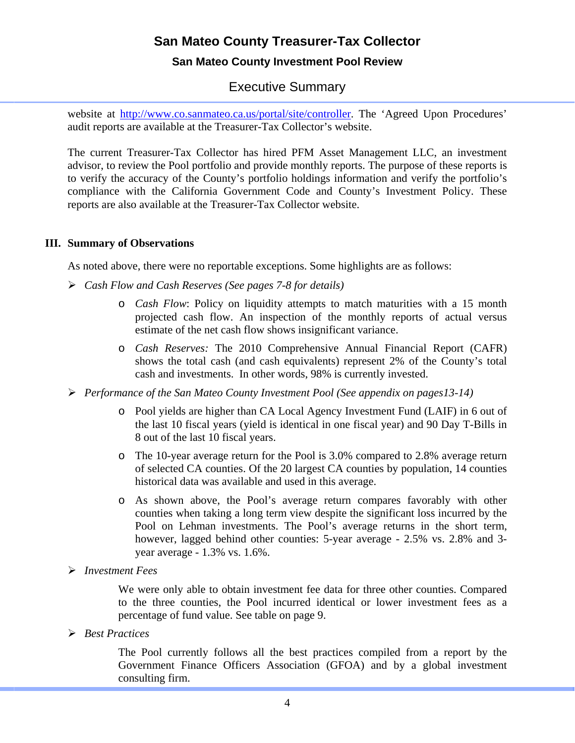#### **San Mateo County Investment Pool Review**

### Executive Summary

website at [http://www.co.sanmateo.ca.us/portal/site/controller.](http://www.co.sanmateo.ca.us/portal/site/controller) The 'Agreed Upon Procedures' audit reports are available at the Treasurer-Tax Collector's website.

The current Treasurer-Tax Collector has hired PFM Asset Management LLC, an investment advisor, to review the Pool portfolio and provide monthly reports. The purpose of these reports is to verify the accuracy of the County's portfolio holdings information and verify the portfolio's compliance with the California Government Code and County's Investment Policy. These reports are also available at the Treasurer-Tax Collector website.

#### **III. Summary of Observations**

As noted above, there were no reportable exceptions. Some highlights are as follows:

- *Cash Flow and Cash Reserves (See pages 7-8 for details)*
	- o *Cash Flow*: Policy on liquidity attempts to match maturities with a 15 month projected cash flow. An inspection of the monthly reports of actual versus estimate of the net cash flow shows insignificant variance.
	- o *Cash Reserves:* The 2010 Comprehensive Annual Financial Report (CAFR) shows the total cash (and cash equivalents) represent 2% of the County's total cash and investments. In other words, 98% is currently invested.
- *Performance of the San Mateo County Investment Pool (See appendix on pages13-14)*
	- o Pool yields are higher than CA Local Agency Investment Fund (LAIF) in 6 out of the last 10 fiscal years (yield is identical in one fiscal year) and 90 Day T-Bills in 8 out of the last 10 fiscal years.
	- o The 10-year average return for the Pool is 3.0% compared to 2.8% average return of selected CA counties. Of the 20 largest CA counties by population, 14 counties historical data was available and used in this average.
	- o As shown above, the Pool's average return compares favorably with other counties when taking a long term view despite the significant loss incurred by the Pool on Lehman investments. The Pool's average returns in the short term, however, lagged behind other counties: 5-year average - 2.5% vs. 2.8% and 3 year average - 1.3% vs. 1.6%.
- *Investment Fees*

We were only able to obtain investment fee data for three other counties. Compared to the three counties, the Pool incurred identical or lower investment fees as a percentage of fund value. See table on page 9.

*Best Practices*

The Pool currently follows all the best practices compiled from a report by the Government Finance Officers Association (GFOA) and by a global investment consulting firm.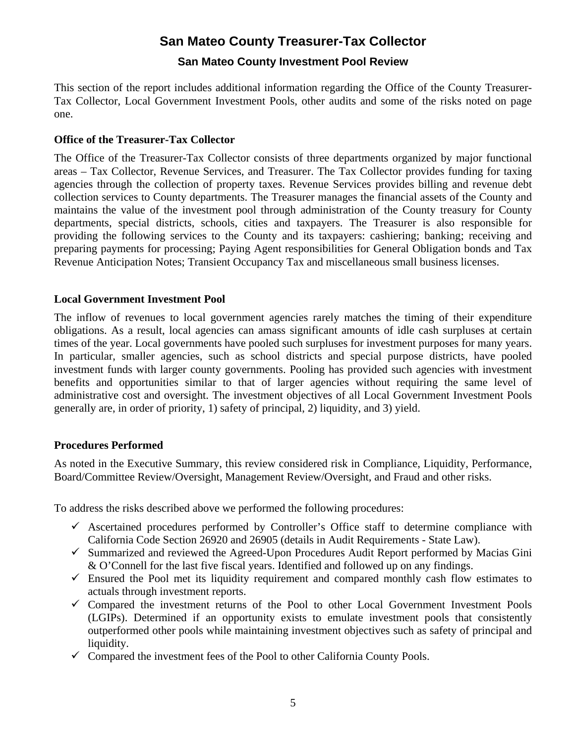#### **San Mateo County Investment Pool Review**

This section of the report includes additional information regarding the Office of the County Treasurer-Tax Collector, Local Government Investment Pools, other audits and some of the risks noted on page one.

#### **Office of the Treasurer-Tax Collector**

The Office of the Treasurer-Tax Collector consists of three departments organized by major functional areas – Tax Collector, Revenue Services, and Treasurer. The Tax Collector provides funding for taxing agencies through the collection of property taxes. Revenue Services provides billing and revenue debt collection services to County departments. The Treasurer manages the financial assets of the County and maintains the value of the investment pool through administration of the County treasury for County departments, special districts, schools, cities and taxpayers. The Treasurer is also responsible for providing the following services to the County and its taxpayers: cashiering; banking; receiving and preparing payments for processing; Paying Agent responsibilities for General Obligation bonds and Tax Revenue Anticipation Notes; Transient Occupancy Tax and miscellaneous small business licenses.

#### **Local Government Investment Pool**

The inflow of revenues to local government agencies rarely matches the timing of their expenditure obligations. As a result, local agencies can amass significant amounts of idle cash surpluses at certain times of the year. Local governments have pooled such surpluses for investment purposes for many years. In particular, smaller agencies, such as school districts and special purpose districts, have pooled investment funds with larger county governments. Pooling has provided such agencies with investment benefits and opportunities similar to that of larger agencies without requiring the same level of administrative cost and oversight. The investment objectives of all Local Government Investment Pools generally are, in order of priority, 1) safety of principal, 2) liquidity, and 3) yield.

#### **Procedures Performed**

As noted in the Executive Summary, this review considered risk in Compliance, Liquidity, Performance, Board/Committee Review/Oversight, Management Review/Oversight, and Fraud and other risks.

To address the risks described above we performed the following procedures:

- $\checkmark$  Ascertained procedures performed by Controller's Office staff to determine compliance with California Code Section 26920 and 26905 (details in Audit Requirements - State Law).
- $\checkmark$  Summarized and reviewed the Agreed-Upon Procedures Audit Report performed by Macias Gini & O'Connell for the last five fiscal years. Identified and followed up on any findings.
- $\checkmark$  Ensured the Pool met its liquidity requirement and compared monthly cash flow estimates to actuals through investment reports.
- $\checkmark$  Compared the investment returns of the Pool to other Local Government Investment Pools (LGIPs). Determined if an opportunity exists to emulate investment pools that consistently outperformed other pools while maintaining investment objectives such as safety of principal and liquidity.
- $\checkmark$  Compared the investment fees of the Pool to other California County Pools.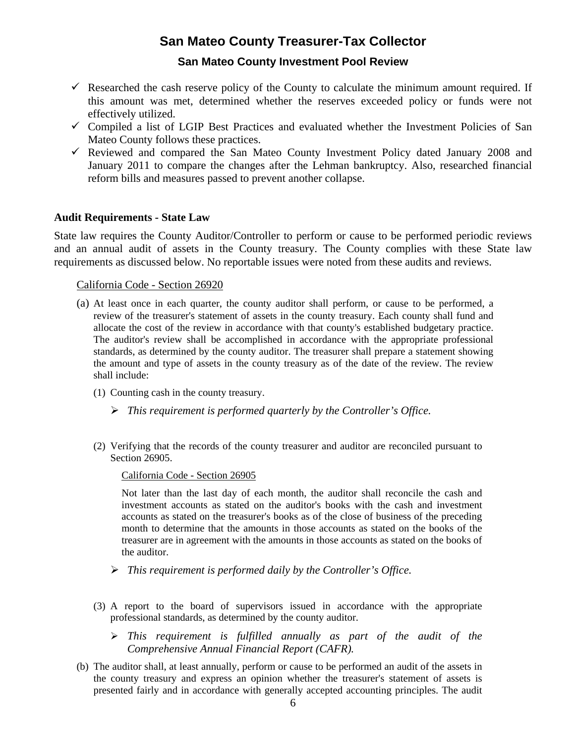#### **San Mateo County Investment Pool Review**

- $\checkmark$  Researched the cash reserve policy of the County to calculate the minimum amount required. If this amount was met, determined whether the reserves exceeded policy or funds were not effectively utilized.
- $\checkmark$  Compiled a list of LGIP Best Practices and evaluated whether the Investment Policies of San Mateo County follows these practices.
- Reviewed and compared the San Mateo County Investment Policy dated January 2008 and January 2011 to compare the changes after the Lehman bankruptcy. Also, researched financial reform bills and measures passed to prevent another collapse.

#### **Audit Requirements - State Law**

State law requires the County Auditor/Controller to perform or cause to be performed periodic reviews and an annual audit of assets in the County treasury. The County complies with these State law requirements as discussed below. No reportable issues were noted from these audits and reviews.

California Code - Section 26920

- (a) At least once in each quarter, the county auditor shall perform, or cause to be performed, a review of the treasurer's statement of assets in the county treasury. Each county shall fund and allocate the cost of the review in accordance with that county's established budgetary practice. The auditor's review shall be accomplished in accordance with the appropriate professional standards, as determined by the county auditor. The treasurer shall prepare a statement showing the amount and type of assets in the county treasury as of the date of the review. The review shall include:
	- (1) Counting cash in the county treasury.
		- *This requirement is performed quarterly by the Controller's Office.*
	- (2) Verifying that the records of the county treasurer and auditor are reconciled pursuant to Section 26905.

California Code - Section 26905

 Not later than the last day of each month, the auditor shall reconcile the cash and investment accounts as stated on the auditor's books with the cash and investment accounts as stated on the treasurer's books as of the close of business of the preceding month to determine that the amounts in those accounts as stated on the books of the treasurer are in agreement with the amounts in those accounts as stated on the books of the auditor.

- *This requirement is performed daily by the Controller's Office.*
- (3) A report to the board of supervisors issued in accordance with the appropriate professional standards, as determined by the county auditor.
	- *This requirement is fulfilled annually as part of the audit of the Comprehensive Annual Financial Report (CAFR).*
- (b) The auditor shall, at least annually, perform or cause to be performed an audit of the assets in the county treasury and express an opinion whether the treasurer's statement of assets is presented fairly and in accordance with generally accepted accounting principles. The audit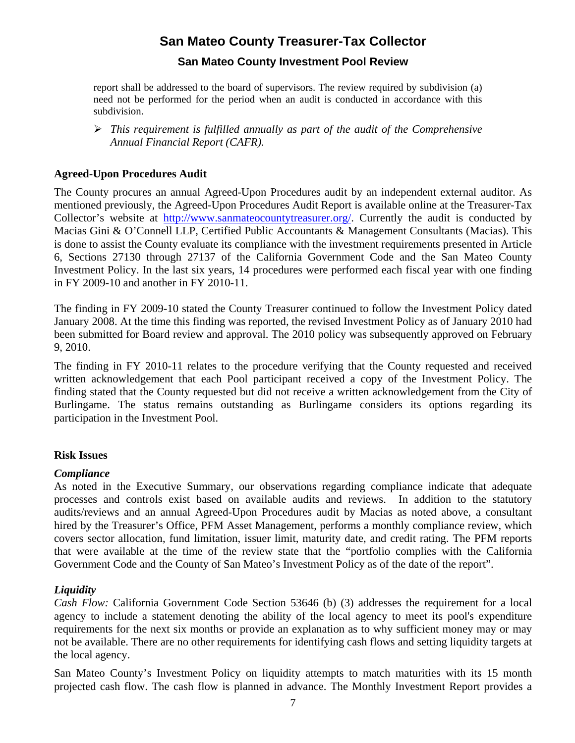#### **San Mateo County Investment Pool Review**

report shall be addressed to the board of supervisors. The review required by subdivision (a) need not be performed for the period when an audit is conducted in accordance with this subdivision.

 *This requirement is fulfilled annually as part of the audit of the Comprehensive Annual Financial Report (CAFR).*

#### **Agreed-Upon Procedures Audit**

The County procures an annual Agreed-Upon Procedures audit by an independent external auditor. As mentioned previously, the Agreed-Upon Procedures Audit Report is available online at the Treasurer-Tax Collector's website at [http://www.sanmateocountytreasurer.org/.](http://www.sanmateocountytreasurer.org/) Currently the audit is conducted by Macias Gini & O'Connell LLP, Certified Public Accountants & Management Consultants (Macias). This is done to assist the County evaluate its compliance with the investment requirements presented in Article 6, Sections 27130 through 27137 of the California Government Code and the San Mateo County Investment Policy. In the last six years, 14 procedures were performed each fiscal year with one finding in FY 2009-10 and another in FY 2010-11.

The finding in FY 2009-10 stated the County Treasurer continued to follow the Investment Policy dated January 2008. At the time this finding was reported, the revised Investment Policy as of January 2010 had been submitted for Board review and approval. The 2010 policy was subsequently approved on February 9, 2010.

The finding in FY 2010-11 relates to the procedure verifying that the County requested and received written acknowledgement that each Pool participant received a copy of the Investment Policy. The finding stated that the County requested but did not receive a written acknowledgement from the City of Burlingame. The status remains outstanding as Burlingame considers its options regarding its participation in the Investment Pool.

#### **Risk Issues**

#### *Compliance*

As noted in the Executive Summary, our observations regarding compliance indicate that adequate processes and controls exist based on available audits and reviews. In addition to the statutory audits/reviews and an annual Agreed-Upon Procedures audit by Macias as noted above, a consultant hired by the Treasurer's Office, PFM Asset Management, performs a monthly compliance review, which covers sector allocation, fund limitation, issuer limit, maturity date, and credit rating. The PFM reports that were available at the time of the review state that the "portfolio complies with the California Government Code and the County of San Mateo's Investment Policy as of the date of the report".

#### *Liquidity*

*Cash Flow:* California Government Code Section 53646 (b) (3) addresses the requirement for a local agency to include a statement denoting the ability of the local agency to meet its pool's expenditure requirements for the next six months or provide an explanation as to why sufficient money may or may not be available. There are no other requirements for identifying cash flows and setting liquidity targets at the local agency.

San Mateo County's Investment Policy on liquidity attempts to match maturities with its 15 month projected cash flow. The cash flow is planned in advance. The Monthly Investment Report provides a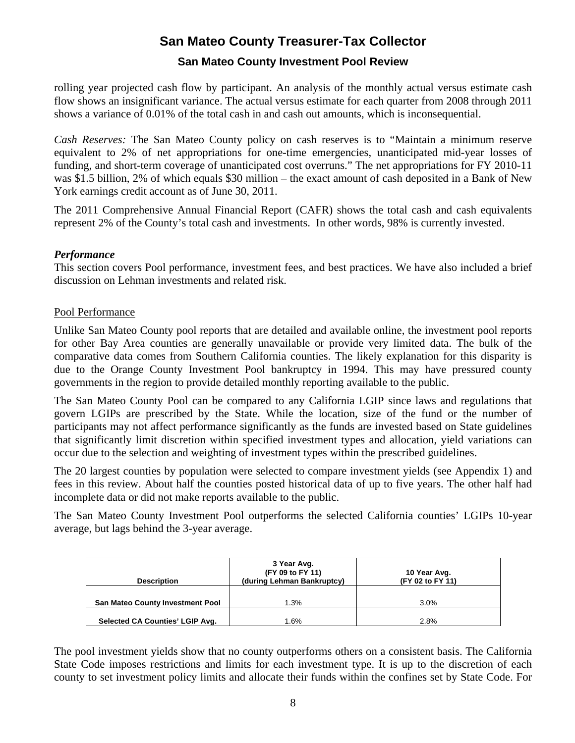#### **San Mateo County Investment Pool Review**

rolling year projected cash flow by participant. An analysis of the monthly actual versus estimate cash flow shows an insignificant variance. The actual versus estimate for each quarter from 2008 through 2011 shows a variance of 0.01% of the total cash in and cash out amounts, which is inconsequential.

*Cash Reserves:* The San Mateo County policy on cash reserves is to "Maintain a minimum reserve equivalent to 2% of net appropriations for one-time emergencies, unanticipated mid-year losses of funding, and short-term coverage of unanticipated cost overruns." The net appropriations for FY 2010-11 was \$1.5 billion, 2% of which equals \$30 million – the exact amount of cash deposited in a Bank of New York earnings credit account as of June 30, 2011.

The 2011 Comprehensive Annual Financial Report (CAFR) shows the total cash and cash equivalents represent 2% of the County's total cash and investments. In other words, 98% is currently invested.

#### *Performance*

This section covers Pool performance, investment fees, and best practices. We have also included a brief discussion on Lehman investments and related risk.

#### Pool Performance

Unlike San Mateo County pool reports that are detailed and available online, the investment pool reports for other Bay Area counties are generally unavailable or provide very limited data. The bulk of the comparative data comes from Southern California counties. The likely explanation for this disparity is due to the Orange County Investment Pool bankruptcy in 1994. This may have pressured county governments in the region to provide detailed monthly reporting available to the public.

The San Mateo County Pool can be compared to any California LGIP since laws and regulations that govern LGIPs are prescribed by the State. While the location, size of the fund or the number of participants may not affect performance significantly as the funds are invested based on State guidelines that significantly limit discretion within specified investment types and allocation, yield variations can occur due to the selection and weighting of investment types within the prescribed guidelines.

The 20 largest counties by population were selected to compare investment yields (see Appendix 1) and fees in this review. About half the counties posted historical data of up to five years. The other half had incomplete data or did not make reports available to the public.

The San Mateo County Investment Pool outperforms the selected California counties' LGIPs 10-year average, but lags behind the 3-year average.

| <b>Description</b>               | 3 Year Avg.<br>(FY 09 to FY 11)<br>(during Lehman Bankruptcy) | 10 Year Avg.<br>(FY 02 to FY 11) |
|----------------------------------|---------------------------------------------------------------|----------------------------------|
| San Mateo County Investment Pool | 1.3%                                                          | 3.0%                             |
| Selected CA Counties' LGIP Avg.  | 1.6%                                                          | 2.8%                             |

The pool investment yields show that no county outperforms others on a consistent basis. The California State Code imposes restrictions and limits for each investment type. It is up to the discretion of each county to set investment policy limits and allocate their funds within the confines set by State Code. For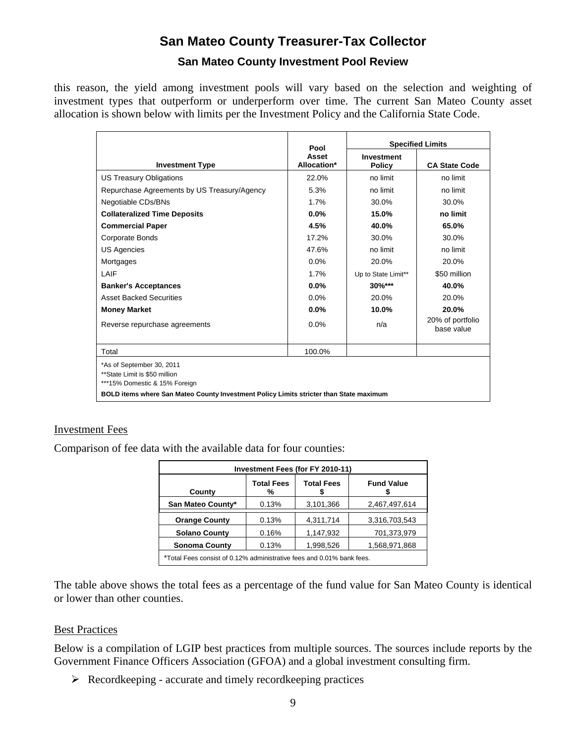#### **San Mateo County Investment Pool Review**

this reason, the yield among investment pools will vary based on the selection and weighting of investment types that outperform or underperform over time. The current San Mateo County asset allocation is shown below with limits per the Investment Policy and the California State Code.

|                                                                                             | Pool                 | <b>Specified Limits</b>     |                                |  |  |
|---------------------------------------------------------------------------------------------|----------------------|-----------------------------|--------------------------------|--|--|
| <b>Investment Type</b>                                                                      | Asset<br>Allocation* | <b>Investment</b><br>Policy | <b>CA State Code</b>           |  |  |
| <b>US Treasury Obligations</b>                                                              | 22.0%                | no limit                    | no limit                       |  |  |
| Repurchase Agreements by US Treasury/Agency                                                 | 5.3%                 | no limit                    | no limit                       |  |  |
| Negotiable CDs/BNs                                                                          | 1.7%                 | 30.0%                       | 30.0%                          |  |  |
| <b>Collateralized Time Deposits</b>                                                         | 0.0%                 | 15.0%                       | no limit                       |  |  |
| <b>Commercial Paper</b>                                                                     | 4.5%                 | 40.0%                       | 65.0%                          |  |  |
| <b>Corporate Bonds</b>                                                                      | 17.2%                | 30.0%                       | 30.0%                          |  |  |
| <b>US Agencies</b>                                                                          | 47.6%                | no limit                    | no limit                       |  |  |
| Mortgages                                                                                   | 0.0%                 | 20.0%                       | 20.0%                          |  |  |
| LAIF                                                                                        | 1.7%                 | Up to State Limit**         | \$50 million                   |  |  |
| <b>Banker's Acceptances</b>                                                                 | 0.0%                 | $30\%***$                   | 40.0%                          |  |  |
| <b>Asset Backed Securities</b>                                                              | 0.0%                 | 20.0%                       | 20.0%                          |  |  |
| <b>Money Market</b>                                                                         | $0.0\%$              | 10.0%                       | 20.0%                          |  |  |
| Reverse repurchase agreements                                                               | 0.0%                 | n/a                         | 20% of portfolio<br>base value |  |  |
| Total                                                                                       | 100.0%               |                             |                                |  |  |
| *As of September 30, 2011<br>**State Limit is \$50 million<br>***15% Domestic & 15% Foreign |                      |                             |                                |  |  |
| BOLD items where San Mateo County Investment Policy Limits stricter than State maximum      |                      |                             |                                |  |  |

#### Investment Fees

Comparison of fee data with the available data for four counties:

| Investment Fees (for FY 2010-11)                                           |       |           |               |  |  |  |
|----------------------------------------------------------------------------|-------|-----------|---------------|--|--|--|
| <b>Total Fees</b><br><b>Total Fees</b><br><b>Fund Value</b><br>County<br>% |       |           |               |  |  |  |
| San Mateo County*                                                          | 0.13% | 3,101,366 | 2,467,497,614 |  |  |  |
| <b>Orange County</b>                                                       | 0.13% | 4,311,714 | 3,316,703,543 |  |  |  |
| <b>Solano County</b>                                                       | 0.16% | 1,147,932 | 701,373,979   |  |  |  |
| <b>Sonoma County</b>                                                       | 0.13% | 1,998,526 | 1,568,971,868 |  |  |  |
| *Total Fees consist of 0.12% administrative fees and 0.01% bank fees.      |       |           |               |  |  |  |

The table above shows the total fees as a percentage of the fund value for San Mateo County is identical or lower than other counties.

#### Best Practices

Below is a compilation of LGIP best practices from multiple sources. The sources include reports by the Government Finance Officers Association (GFOA) and a global investment consulting firm.

 $\triangleright$  Recordkeeping - accurate and timely recordkeeping practices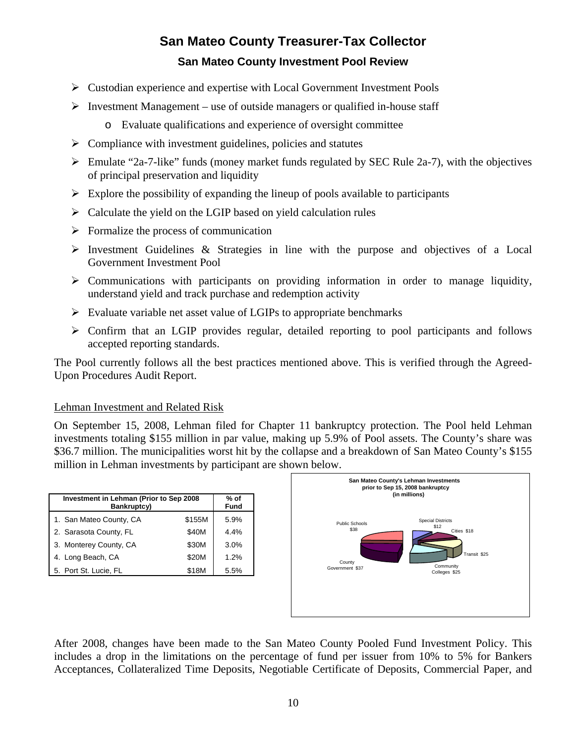# **San Mateo County Treasurer-Tax Collector San Mateo County Investment Pool Review**

- Custodian experience and expertise with Local Government Investment Pools
- $\triangleright$  Investment Management use of outside managers or qualified in-house staff
	- o Evaluate qualifications and experience of oversight committee
- $\triangleright$  Compliance with investment guidelines, policies and statutes
- $\triangleright$  Emulate "2a-7-like" funds (money market funds regulated by SEC Rule 2a-7), with the objectives of principal preservation and liquidity
- $\triangleright$  Explore the possibility of expanding the lineup of pools available to participants
- $\triangleright$  Calculate the yield on the LGIP based on yield calculation rules
- $\triangleright$  Formalize the process of communication
- $\triangleright$  Investment Guidelines & Strategies in line with the purpose and objectives of a Local Government Investment Pool
- $\triangleright$  Communications with participants on providing information in order to manage liquidity, understand yield and track purchase and redemption activity
- $\triangleright$  Evaluate variable net asset value of LGIPs to appropriate benchmarks
- $\triangleright$  Confirm that an LGIP provides regular, detailed reporting to pool participants and follows accepted reporting standards.

The Pool currently follows all the best practices mentioned above. This is verified through the Agreed-Upon Procedures Audit Report.

#### Lehman Investment and Related Risk

On September 15, 2008, Lehman filed for Chapter 11 bankruptcy protection. The Pool held Lehman investments totaling \$155 million in par value, making up 5.9% of Pool assets. The County's share was \$36.7 million. The municipalities worst hit by the collapse and a breakdown of San Mateo County's \$155 million in Lehman investments by participant are shown below.

| Investment in Lehman (Prior to Sep 2008<br>Bankruptcy) | % of<br>Fund |      |
|--------------------------------------------------------|--------------|------|
| 1. San Mateo County, CA                                | \$155M       | 5.9% |
| 2. Sarasota County, FL                                 | \$40M        | 4.4% |
| 3. Monterey County, CA                                 | 3.0%         |      |
| 4. Long Beach, CA                                      | \$20M        | 1.2% |
| 5. Port St. Lucie, FL                                  | 5.5%         |      |



After 2008, changes have been made to the San Mateo County Pooled Fund Investment Policy. This includes a drop in the limitations on the percentage of fund per issuer from 10% to 5% for Bankers Acceptances, Collateralized Time Deposits, Negotiable Certificate of Deposits, Commercial Paper, and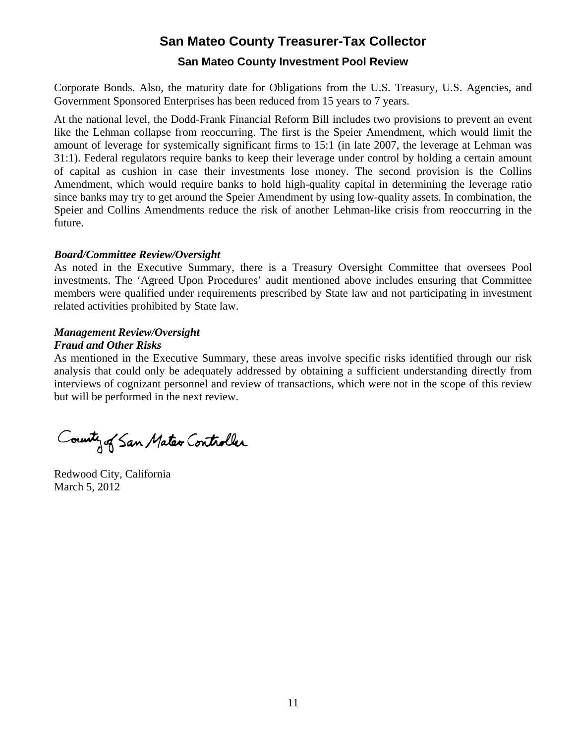#### **San Mateo County Investment Pool Review**

Corporate Bonds. Also, the maturity date for Obligations from the U.S. Treasury, U.S. Agencies, and Government Sponsored Enterprises has been reduced from 15 years to 7 years.

At the national level, the Dodd-Frank Financial Reform Bill includes two provisions to prevent an event like the Lehman collapse from reoccurring. The first is the Speier Amendment, which would limit the amount of leverage for systemically significant firms to 15:1 (in late 2007, the leverage at Lehman was 31:1). Federal regulators require banks to keep their leverage under control by holding a certain amount of capital as cushion in case their investments lose money. The second provision is the Collins Amendment, which would require banks to hold high-quality capital in determining the leverage ratio since banks may try to get around the Speier Amendment by using low-quality assets. In combination, the Speier and Collins Amendments reduce the risk of another Lehman-like crisis from reoccurring in the future.

#### *Board/Committee Review/Oversight*

As noted in the Executive Summary, there is a Treasury Oversight Committee that oversees Pool investments. The 'Agreed Upon Procedures' audit mentioned above includes ensuring that Committee members were qualified under requirements prescribed by State law and not participating in investment related activities prohibited by State law.

# *Management Review/Oversight*

#### *Fraud and Other Risks*

As mentioned in the Executive Summary, these areas involve specific risks identified through our risk analysis that could only be adequately addressed by obtaining a sufficient understanding directly from interviews of cognizant personnel and review of transactions, which were not in the scope of this review but will be performed in the next review.

County of San Mater Controller

Redwood City, California March 5, 2012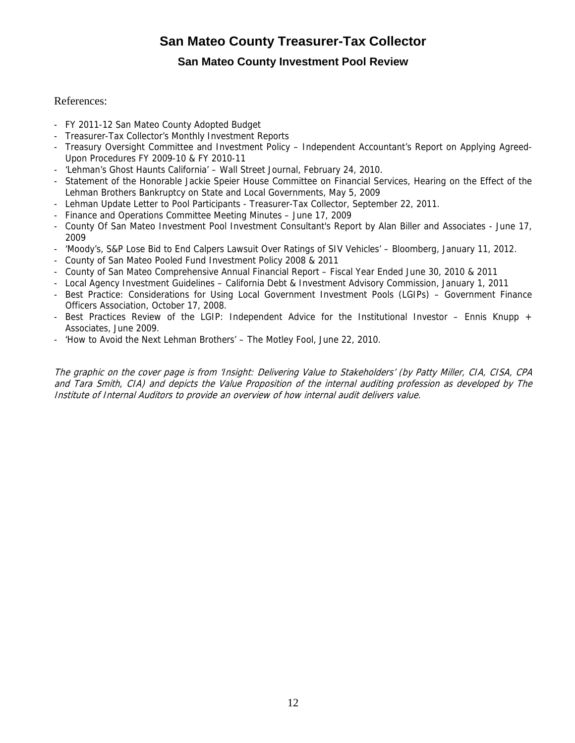#### **San Mateo County Investment Pool Review**

#### References:

- FY 2011-12 San Mateo County Adopted Budget
- Treasurer-Tax Collector's Monthly Investment Reports
- Treasury Oversight Committee and Investment Policy Independent Accountant's Report on Applying Agreed-Upon Procedures FY 2009-10 & FY 2010-11
- 'Lehman's Ghost Haunts California' Wall Street Journal, February 24, 2010.
- Statement of the Honorable Jackie Speier House Committee on Financial Services, Hearing on the Effect of the Lehman Brothers Bankruptcy on State and Local Governments, May 5, 2009
- Lehman Update Letter to Pool Participants Treasurer-Tax Collector, September 22, 2011.
- Finance and Operations Committee Meeting Minutes June 17, 2009
- County Of San Mateo Investment Pool Investment Consultant's Report by Alan Biller and Associates June 17, 2009
- 'Moody's, S&P Lose Bid to End Calpers Lawsuit Over Ratings of SIV Vehicles' Bloomberg, January 11, 2012.
- County of San Mateo Pooled Fund Investment Policy 2008 & 2011
- County of San Mateo Comprehensive Annual Financial Report Fiscal Year Ended June 30, 2010 & 2011
- Local Agency Investment Guidelines California Debt & Investment Advisory Commission, January 1, 2011
- Best Practice: Considerations for Using Local Government Investment Pools (LGIPs) Government Finance Officers Association, October 17, 2008.
- Best Practices Review of the LGIP: Independent Advice for the Institutional Investor Ennis Knupp + Associates, June 2009.
- 'How to Avoid the Next Lehman Brothers' The Motley Fool, June 22, 2010.

The graphic on the cover page is from 'Insight: Delivering Value to Stakeholders' (by Patty Miller, CIA, CISA, CPA and Tara Smith, CIA) and depicts the Value Proposition of the internal auditing profession as developed by The Institute of Internal Auditors to provide an overview of how internal audit delivers value.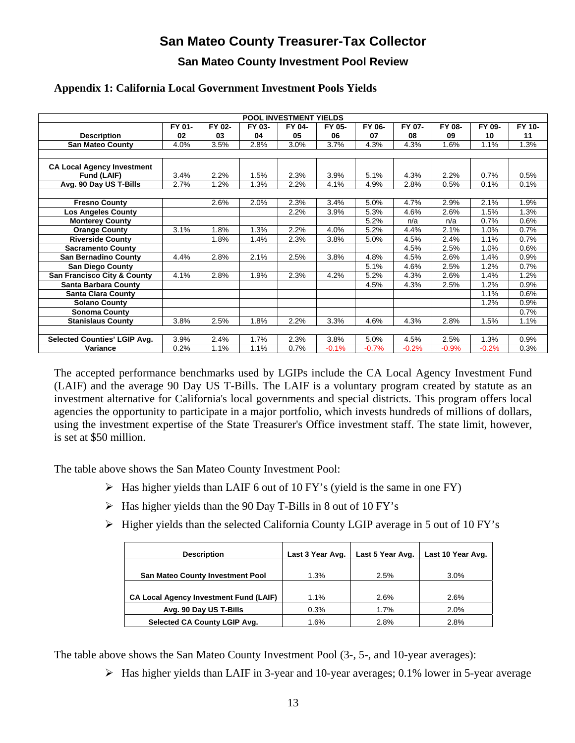#### **San Mateo County Investment Pool Review**

| <b>POOL INVESTMENT YIELDS</b>          |        |         |        |        |         |         |         |         |         |        |
|----------------------------------------|--------|---------|--------|--------|---------|---------|---------|---------|---------|--------|
|                                        | FY 01- | FY 02-  | FY 03- | FY 04- | FY 05-  | FY 06-  | FY 07-  | FY 08-  | FY 09-  | FY 10- |
| <b>Description</b>                     | 02     | 03      | 04     | 05     | 06      | 07      | 08      | 09      | 10      | 11     |
| <b>San Mateo County</b>                | 4.0%   | 3.5%    | 2.8%   | 3.0%   | 3.7%    | 4.3%    | 4.3%    | 1.6%    | 1.1%    | 1.3%   |
|                                        |        |         |        |        |         |         |         |         |         |        |
| <b>CA Local Agency Investment</b>      |        |         |        |        |         |         |         |         |         |        |
| <b>Fund (LAIF)</b>                     | 3.4%   | 2.2%    | 1.5%   | 2.3%   | 3.9%    | 5.1%    | 4.3%    | 2.2%    | 0.7%    | 0.5%   |
| Avg. 90 Day US T-Bills                 | 2.7%   | $1.2\%$ | 1.3%   | 2.2%   | 4.1%    | 4.9%    | 2.8%    | 0.5%    | 0.1%    | 0.1%   |
|                                        |        |         |        |        |         |         |         |         |         |        |
| <b>Fresno County</b>                   |        | 2.6%    | 2.0%   | 2.3%   | 3.4%    | 5.0%    | 4.7%    | 2.9%    | 2.1%    | 1.9%   |
| <b>Los Angeles County</b>              |        |         |        | 2.2%   | 3.9%    | 5.3%    | 4.6%    | 2.6%    | 1.5%    | 1.3%   |
| <b>Monterey County</b>                 |        |         |        |        |         | 5.2%    | n/a     | n/a     | 0.7%    | 0.6%   |
| <b>Orange County</b>                   | 3.1%   | 1.8%    | 1.3%   | 2.2%   | 4.0%    | 5.2%    | 4.4%    | 2.1%    | 1.0%    | 0.7%   |
| <b>Riverside County</b>                |        | 1.8%    | 1.4%   | 2.3%   | 3.8%    | 5.0%    | 4.5%    | 2.4%    | 1.1%    | 0.7%   |
| <b>Sacramento County</b>               |        |         |        |        |         |         | 4.5%    | 2.5%    | 1.0%    | 0.6%   |
| <b>San Bernadino County</b>            | 4.4%   | 2.8%    | 2.1%   | 2.5%   | 3.8%    | 4.8%    | 4.5%    | 2.6%    | 1.4%    | 0.9%   |
| <b>San Diego County</b>                |        |         |        |        |         | 5.1%    | 4.6%    | 2.5%    | 1.2%    | 0.7%   |
| <b>San Francisco City &amp; County</b> | 4.1%   | 2.8%    | 1.9%   | 2.3%   | 4.2%    | 5.2%    | 4.3%    | 2.6%    | 1.4%    | 1.2%   |
| <b>Santa Barbara County</b>            |        |         |        |        |         | 4.5%    | 4.3%    | 2.5%    | 1.2%    | 0.9%   |
| <b>Santa Clara County</b>              |        |         |        |        |         |         |         |         | 1.1%    | 0.6%   |
| <b>Solano County</b>                   |        |         |        |        |         |         |         |         | 1.2%    | 0.9%   |
| <b>Sonoma County</b>                   |        |         |        |        |         |         |         |         |         | 0.7%   |
| <b>Stanislaus County</b>               | 3.8%   | 2.5%    | 1.8%   | 2.2%   | 3.3%    | 4.6%    | 4.3%    | 2.8%    | 1.5%    | 1.1%   |
|                                        |        |         |        |        |         |         |         |         |         |        |
| <b>Selected Counties' LGIP Avg.</b>    | 3.9%   | 2.4%    | 1.7%   | 2.3%   | 3.8%    | 5.0%    | 4.5%    | 2.5%    | 1.3%    | 0.9%   |
| Variance                               | 0.2%   | 1.1%    | 1.1%   | 0.7%   | $-0.1%$ | $-0.7%$ | $-0.2%$ | $-0.9%$ | $-0.2%$ | 0.3%   |

#### **Appendix 1: California Local Government Investment Pools Yields**

The accepted performance benchmarks used by LGIPs include the CA Local Agency Investment Fund (LAIF) and the average 90 Day US T-Bills. The LAIF is a voluntary program created by statute as an investment alternative for California's local governments and special districts. This program offers local agencies the opportunity to participate in a major portfolio, which invests hundreds of millions of dollars, using the investment expertise of the State Treasurer's Office investment staff. The state limit, however, is set at \$50 million.

The table above shows the San Mateo County Investment Pool:

- $\triangleright$  Has higher yields than LAIF 6 out of 10 FY's (yield is the same in one FY)
- $\triangleright$  Has higher yields than the 90 Day T-Bills in 8 out of 10 FY's
- $\triangleright$  Higher yields than the selected California County LGIP average in 5 out of 10 FY's

| <b>Description</b>                            | Last 3 Year Avg. | Last 5 Year Avg. | Last 10 Year Avg. |
|-----------------------------------------------|------------------|------------------|-------------------|
|                                               |                  |                  |                   |
| <b>San Mateo County Investment Pool</b>       | $1.3\%$          | 2.5%             | 3.0%              |
|                                               |                  |                  |                   |
| <b>CA Local Agency Investment Fund (LAIF)</b> | 1.1%             | 2.6%             | 2.6%              |
| Avg. 90 Day US T-Bills                        | 0.3%             | 1.7%             | 2.0%              |
| Selected CA County LGIP Avg.                  | 1.6%             | 2.8%             | 2.8%              |

The table above shows the San Mateo County Investment Pool (3-, 5-, and 10-year averages):

Has higher yields than LAIF in 3-year and 10-year averages; 0.1% lower in 5-year average